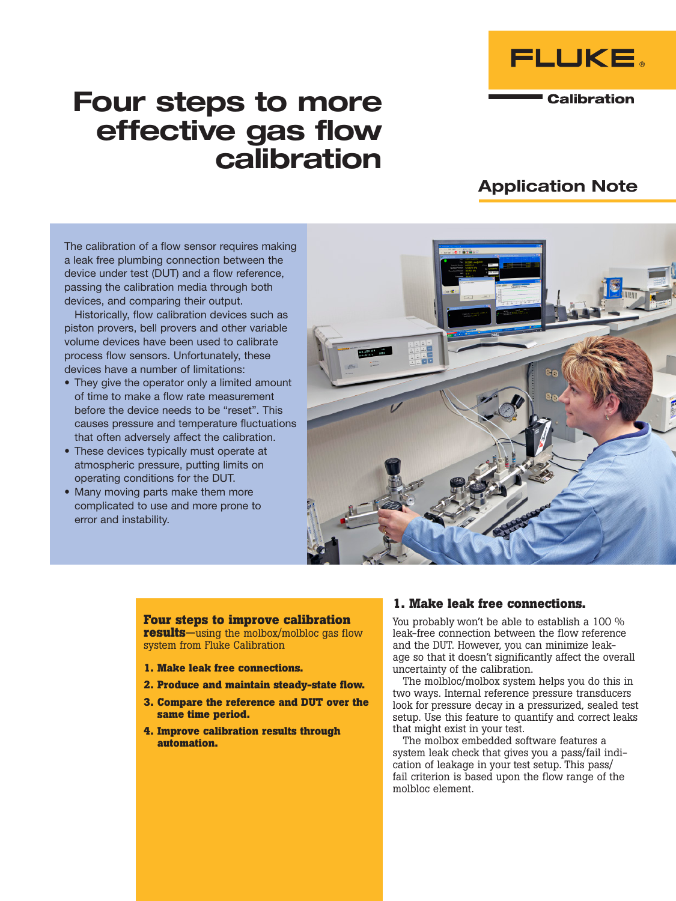

**Calibration** 

# Four steps to more effective gas flow calibration

# Application Note

The calibration of a flow sensor requires making a leak free plumbing connection between the device under test (DUT) and a flow reference, passing the calibration media through both devices, and comparing their output.

Historically, flow calibration devices such as piston provers, bell provers and other variable volume devices have been used to calibrate process flow sensors. Unfortunately, these devices have a number of limitations:

- They give the operator only a limited amount of time to make a flow rate measurement before the device needs to be "reset". This causes pressure and temperature fluctuations that often adversely affect the calibration.
- These devices typically must operate at atmospheric pressure, putting limits on operating conditions for the DUT.
- Many moving parts make them more complicated to use and more prone to error and instability.



#### **Four steps to improve calibration results**—using the molbox/molbloc gas flow system from Fluke Calibration

**1. Make leak free connections.**

- **2. Produce and maintain steady-state flow.**
- **3. Compare the reference and DUT over the same time period.**
- **4. Improve calibration results through automation.**

### **1. Make leak free connections.**

You probably won't be able to establish a 100 % leak-free connection between the flow reference and the DUT. However, you can minimize leakage so that it doesn't significantly affect the overall uncertainty of the calibration.

The molbloc/molbox system helps you do this in two ways. Internal reference pressure transducers look for pressure decay in a pressurized, sealed test setup. Use this feature to quantify and correct leaks that might exist in your test.

The molbox embedded software features a system leak check that gives you a pass/fail indication of leakage in your test setup. This pass/ fail criterion is based upon the flow range of the molbloc element.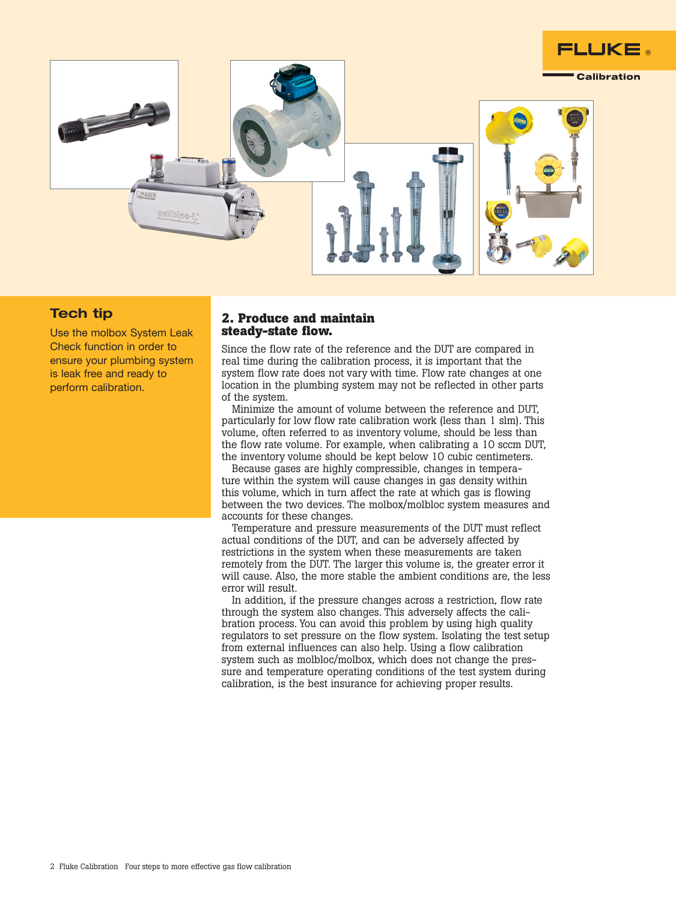

## Tech tip

Use the molbox System Leak Check function in order to ensure your plumbing system is leak free and ready to perform calibration.

#### **2. Produce and maintain steady-state flow.**

Since the flow rate of the reference and the DUT are compared in real time during the calibration process, it is important that the system flow rate does not vary with time. Flow rate changes at one location in the plumbing system may not be reflected in other parts of the system.

Minimize the amount of volume between the reference and DUT, particularly for low flow rate calibration work (less than 1 slm). This volume, often referred to as inventory volume, should be less than the flow rate volume. For example, when calibrating a 10 sccm DUT, the inventory volume should be kept below 10 cubic centimeters.

Because gases are highly compressible, changes in temperature within the system will cause changes in gas density within this volume, which in turn affect the rate at which gas is flowing between the two devices. The molbox/molbloc system measures and accounts for these changes.

Temperature and pressure measurements of the DUT must reflect actual conditions of the DUT, and can be adversely affected by restrictions in the system when these measurements are taken remotely from the DUT. The larger this volume is, the greater error it will cause. Also, the more stable the ambient conditions are, the less error will result.

In addition, if the pressure changes across a restriction, flow rate through the system also changes. This adversely affects the calibration process. You can avoid this problem by using high quality regulators to set pressure on the flow system. Isolating the test setup from external influences can also help. Using a flow calibration system such as molbloc/molbox, which does not change the pressure and temperature operating conditions of the test system during calibration, is the best insurance for achieving proper results.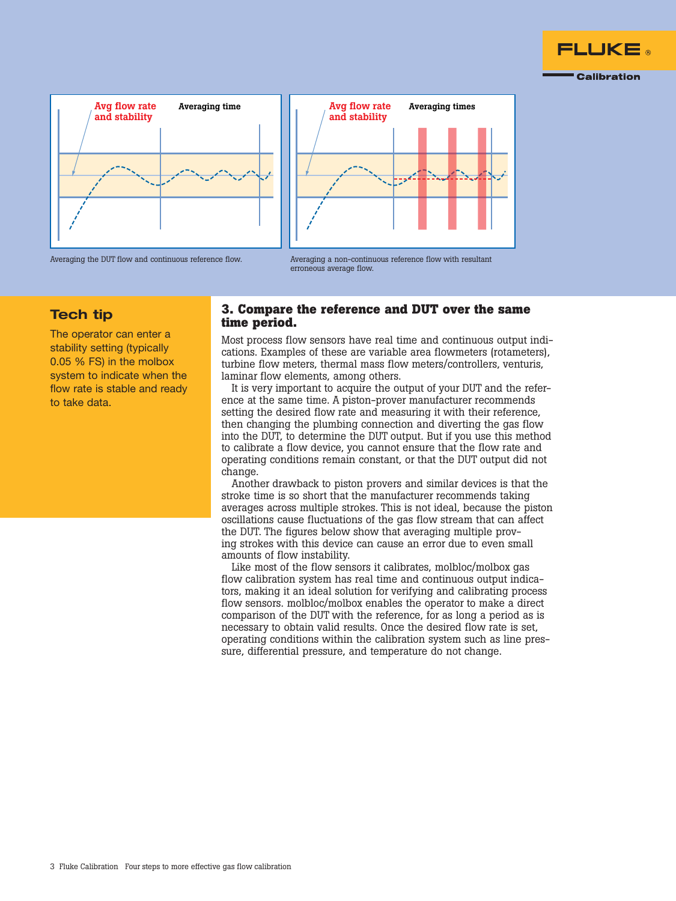







erroneous average flow.

# Tech tip

The operator can enter a stability setting (typically 0.05 % FS) in the molbox system to indicate when the flow rate is stable and ready to take data.

#### **3. Compare the reference and DUT over the same time period.**

Most process flow sensors have real time and continuous output indications. Examples of these are variable area flowmeters (rotameters), turbine flow meters, thermal mass flow meters/controllers, venturis, laminar flow elements, among others.

It is very important to acquire the output of your DUT and the reference at the same time. A piston-prover manufacturer recommends setting the desired flow rate and measuring it with their reference, then changing the plumbing connection and diverting the gas flow into the DUT, to determine the DUT output. But if you use this method to calibrate a flow device, you cannot ensure that the flow rate and operating conditions remain constant, or that the DUT output did not change.

Another drawback to piston provers and similar devices is that the stroke time is so short that the manufacturer recommends taking averages across multiple strokes. This is not ideal, because the piston oscillations cause fluctuations of the gas flow stream that can affect the DUT. The figures below show that averaging multiple proving strokes with this device can cause an error due to even small amounts of flow instability.

Like most of the flow sensors it calibrates, molbloc/molbox gas flow calibration system has real time and continuous output indicators, making it an ideal solution for verifying and calibrating process flow sensors. molbloc/molbox enables the operator to make a direct comparison of the DUT with the reference, for as long a period as is necessary to obtain valid results. Once the desired flow rate is set, operating conditions within the calibration system such as line pressure, differential pressure, and temperature do not change.